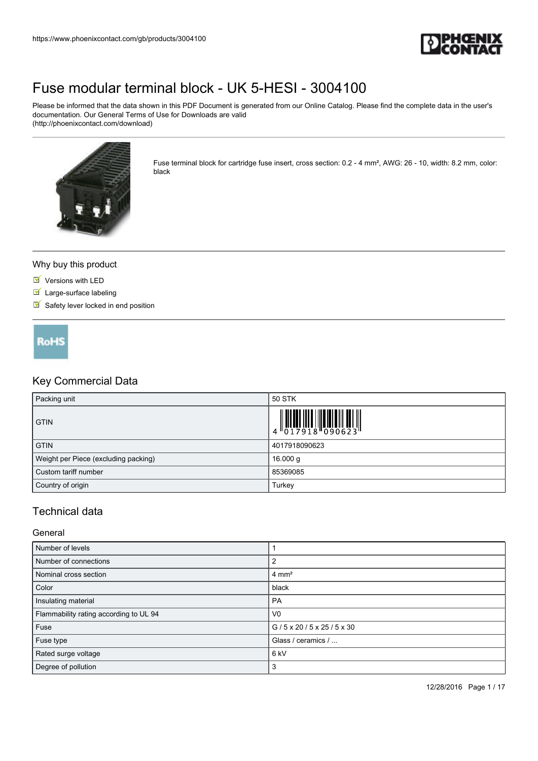

Please be informed that the data shown in this PDF Document is generated from our Online Catalog. Please find the complete data in the user's documentation. Our General Terms of Use for Downloads are valid (http://phoenixcontact.com/download)



Fuse terminal block for cartridge fuse insert, cross section: 0.2 - 4 mm², AWG: 26 - 10, width: 8.2 mm, color: black

#### Why buy this product

- **Versions with LED**
- Large-surface labeling
- $\blacksquare$  Safety lever locked in end position



### Key Commercial Data

| Packing unit                         | 50 STK                                                                                                                                                                                                                                                                                                                      |
|--------------------------------------|-----------------------------------------------------------------------------------------------------------------------------------------------------------------------------------------------------------------------------------------------------------------------------------------------------------------------------|
| <b>GTIN</b>                          | $\begin{array}{c} 1 & 0 & 0 & 0 & 0 \\ 0 & 1 & 0 & 1 & 0 \\ 0 & 1 & 0 & 0 & 0 \\ 0 & 0 & 0 & 0 & 0 \\ 0 & 0 & 0 & 0 & 0 \\ 0 & 0 & 0 & 0 & 0 \\ 0 & 0 & 0 & 0 & 0 \\ 0 & 0 & 0 & 0 & 0 \\ 0 & 0 & 0 & 0 & 0 \\ 0 & 0 & 0 & 0 & 0 \\ 0 & 0 & 0 & 0 & 0 & 0 \\ 0 & 0 & 0 & 0 & 0 & 0 \\ 0 & 0 & 0 & 0 & 0 & 0 \\ 0 & 0 & 0 &$ |
| <b>GTIN</b>                          | 4017918090623                                                                                                                                                                                                                                                                                                               |
| Weight per Piece (excluding packing) | 16.000 g                                                                                                                                                                                                                                                                                                                    |
| Custom tariff number                 | 85369085                                                                                                                                                                                                                                                                                                                    |
| Country of origin                    | Turkey                                                                                                                                                                                                                                                                                                                      |

### Technical data

#### General

| Number of levels                       |                                         |
|----------------------------------------|-----------------------------------------|
| Number of connections                  |                                         |
| Nominal cross section                  | $4 \text{ mm}^2$                        |
| Color                                  | black                                   |
| Insulating material                    | PA                                      |
| Flammability rating according to UL 94 | V <sub>0</sub>                          |
| Fuse                                   | $G/5 \times 20/5 \times 25/5 \times 30$ |
| Fuse type                              | Glass / ceramics /                      |
| Rated surge voltage                    | 6 <sub>kV</sub>                         |
| Degree of pollution                    | 3                                       |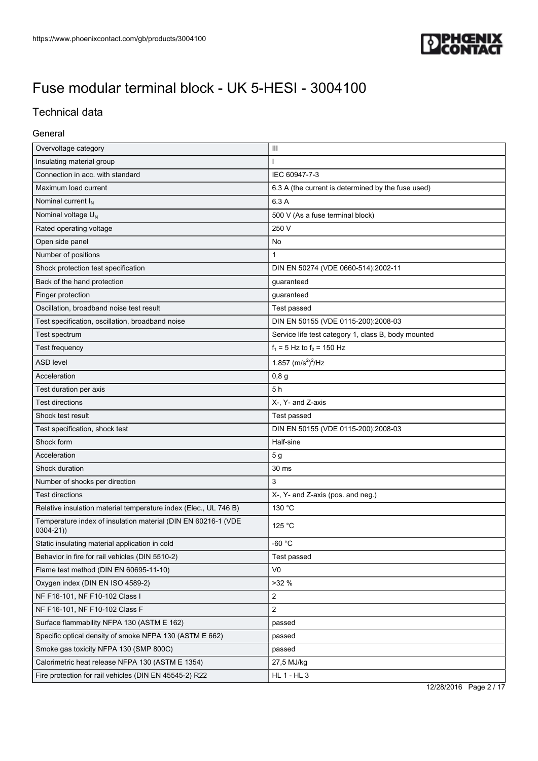

### Technical data

### General

| Overvoltage category                                                          | $\mathbf{III}$                                      |  |
|-------------------------------------------------------------------------------|-----------------------------------------------------|--|
| Insulating material group                                                     |                                                     |  |
| Connection in acc. with standard                                              | IEC 60947-7-3                                       |  |
| Maximum load current                                                          | 6.3 A (the current is determined by the fuse used)  |  |
| Nominal current $I_N$                                                         | 6.3 A                                               |  |
| Nominal voltage U <sub>N</sub>                                                | 500 V (As a fuse terminal block)                    |  |
| Rated operating voltage                                                       | 250 V                                               |  |
| Open side panel                                                               | No                                                  |  |
| Number of positions                                                           | $\mathbf{1}$                                        |  |
| Shock protection test specification                                           | DIN EN 50274 (VDE 0660-514):2002-11                 |  |
| Back of the hand protection                                                   | guaranteed                                          |  |
| Finger protection                                                             | guaranteed                                          |  |
| Oscillation, broadband noise test result                                      | Test passed                                         |  |
| Test specification, oscillation, broadband noise                              | DIN EN 50155 (VDE 0115-200):2008-03                 |  |
| Test spectrum                                                                 | Service life test category 1, class B, body mounted |  |
| Test frequency                                                                | $f_1 = 5$ Hz to $f_2 = 150$ Hz                      |  |
| <b>ASD level</b>                                                              | 1.857 $(m/s^2)^2$ /Hz                               |  |
| Acceleration                                                                  | 0,8g                                                |  |
| Test duration per axis                                                        | 5 <sub>h</sub>                                      |  |
| <b>Test directions</b>                                                        | X-, Y- and Z-axis                                   |  |
| Shock test result                                                             | Test passed                                         |  |
| Test specification, shock test                                                | DIN EN 50155 (VDE 0115-200):2008-03                 |  |
| Shock form                                                                    | Half-sine                                           |  |
| Acceleration                                                                  | 5 g                                                 |  |
| Shock duration                                                                | 30 ms                                               |  |
| Number of shocks per direction                                                | 3                                                   |  |
| <b>Test directions</b>                                                        | X-, Y- and Z-axis (pos. and neg.)                   |  |
| Relative insulation material temperature index (Elec., UL 746 B)              | 130 °C                                              |  |
| Temperature index of insulation material (DIN EN 60216-1 (VDE<br>$0304 - 21)$ | 125 °C                                              |  |
| Static insulating material application in cold                                | -60 $^{\circ}$ C                                    |  |
| Behavior in fire for rail vehicles (DIN 5510-2)                               | Test passed                                         |  |
| Flame test method (DIN EN 60695-11-10)                                        | V <sub>0</sub>                                      |  |
| Oxygen index (DIN EN ISO 4589-2)                                              | >32%                                                |  |
| NF F16-101, NF F10-102 Class I                                                | $\overline{2}$                                      |  |
| NF F16-101, NF F10-102 Class F                                                | $\overline{2}$                                      |  |
| Surface flammability NFPA 130 (ASTM E 162)                                    | passed                                              |  |
| Specific optical density of smoke NFPA 130 (ASTM E 662)                       | passed                                              |  |
| Smoke gas toxicity NFPA 130 (SMP 800C)                                        | passed                                              |  |
| Calorimetric heat release NFPA 130 (ASTM E 1354)                              | 27,5 MJ/kg                                          |  |
| Fire protection for rail vehicles (DIN EN 45545-2) R22                        | HL 1 - HL 3                                         |  |

12/28/2016 Page 2 / 17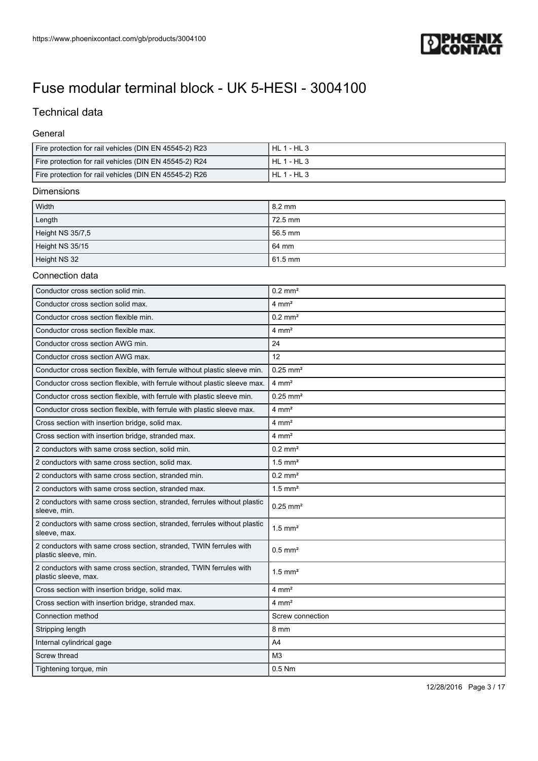

### Technical data

#### General

| Fire protection for rail vehicles (DIN EN 45545-2) R23 | HL 1 - HL 3     |
|--------------------------------------------------------|-----------------|
| Fire protection for rail vehicles (DIN EN 45545-2) R24 | HL 1 - HL 3     |
| Fire protection for rail vehicles (DIN EN 45545-2) R26 | $HL$ 1 - $HL$ 3 |

#### Dimensions

| Width            | $\sqrt{8.2 \text{ mm}}$ |
|------------------|-------------------------|
| Length           | 72.5 mm                 |
| Height NS 35/7,5 | 56.5 mm                 |
| Height NS 35/15  | 64 mm                   |
| Height NS 32     | 61.5 mm                 |

### Connection data

| Conductor cross section solid min.                                                         | $0.2$ mm <sup>2</sup>  |  |
|--------------------------------------------------------------------------------------------|------------------------|--|
| Conductor cross section solid max.                                                         | $4 \text{ mm}^2$       |  |
| Conductor cross section flexible min.                                                      | $0.2$ mm <sup>2</sup>  |  |
| Conductor cross section flexible max.                                                      | $4 \text{ mm}^2$       |  |
| Conductor cross section AWG min.                                                           | 24                     |  |
| Conductor cross section AWG max.                                                           | 12                     |  |
| Conductor cross section flexible, with ferrule without plastic sleeve min.                 | $0.25$ mm <sup>2</sup> |  |
| Conductor cross section flexible, with ferrule without plastic sleeve max.                 | $4 \text{ mm}^2$       |  |
| Conductor cross section flexible, with ferrule with plastic sleeve min.                    | $0.25$ mm <sup>2</sup> |  |
| Conductor cross section flexible, with ferrule with plastic sleeve max.                    | $4 \text{ mm}^2$       |  |
| Cross section with insertion bridge, solid max.                                            | $4 \text{ mm}^2$       |  |
| Cross section with insertion bridge, stranded max.                                         | $4 \text{ mm}^2$       |  |
| 2 conductors with same cross section, solid min.                                           | $0.2$ mm <sup>2</sup>  |  |
| 2 conductors with same cross section, solid max.                                           | $1.5$ mm <sup>2</sup>  |  |
| 2 conductors with same cross section, stranded min.                                        | $0.2$ mm <sup>2</sup>  |  |
| 2 conductors with same cross section, stranded max.                                        | $1.5$ mm <sup>2</sup>  |  |
| 2 conductors with same cross section, stranded, ferrules without plastic<br>sleeve, min.   | $0.25$ mm <sup>2</sup> |  |
| 2 conductors with same cross section, stranded, ferrules without plastic<br>sleeve, max.   | $1.5$ mm <sup>2</sup>  |  |
| 2 conductors with same cross section, stranded, TWIN ferrules with<br>plastic sleeve, min. | $0.5$ mm <sup>2</sup>  |  |
| 2 conductors with same cross section, stranded, TWIN ferrules with<br>plastic sleeve, max. | $1.5$ mm <sup>2</sup>  |  |
| Cross section with insertion bridge, solid max.                                            | $4 \text{ mm}^2$       |  |
| Cross section with insertion bridge, stranded max.                                         | $4 \text{ mm}^2$       |  |
| Connection method                                                                          | Screw connection       |  |
| Stripping length                                                                           | 8 mm                   |  |
| Internal cylindrical gage                                                                  | A4                     |  |
| Screw thread                                                                               | M <sub>3</sub>         |  |
| Tightening torque, min                                                                     | $0.5$ Nm               |  |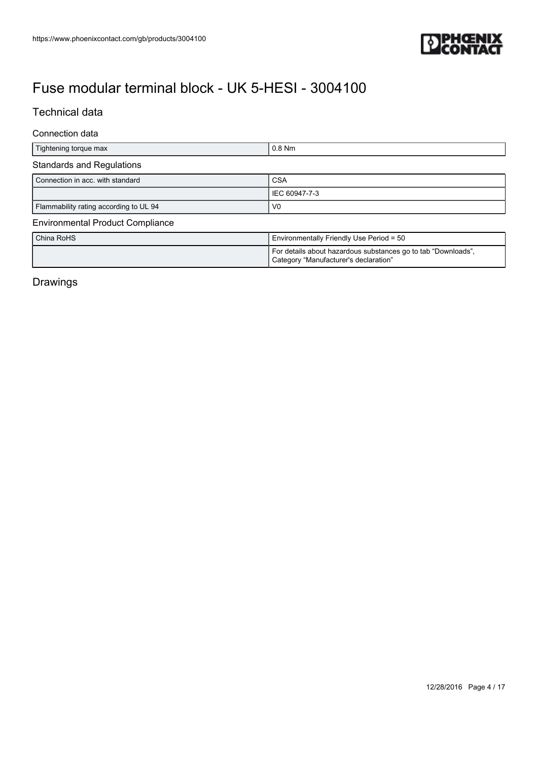

### Technical data

### Connection data

| Tightening torque max                   | $0.8$ Nm                                                                                               |  |
|-----------------------------------------|--------------------------------------------------------------------------------------------------------|--|
| <b>Standards and Regulations</b>        |                                                                                                        |  |
| Connection in acc. with standard        | CSA                                                                                                    |  |
|                                         | IEC 60947-7-3                                                                                          |  |
| Flammability rating according to UL 94  | V <sub>0</sub>                                                                                         |  |
| <b>Environmental Product Compliance</b> |                                                                                                        |  |
| China RoHS                              | Environmentally Friendly Use Period = 50                                                               |  |
|                                         | For details about hazardous substances go to tab "Downloads",<br>Category "Manufacturer's declaration" |  |

### Drawings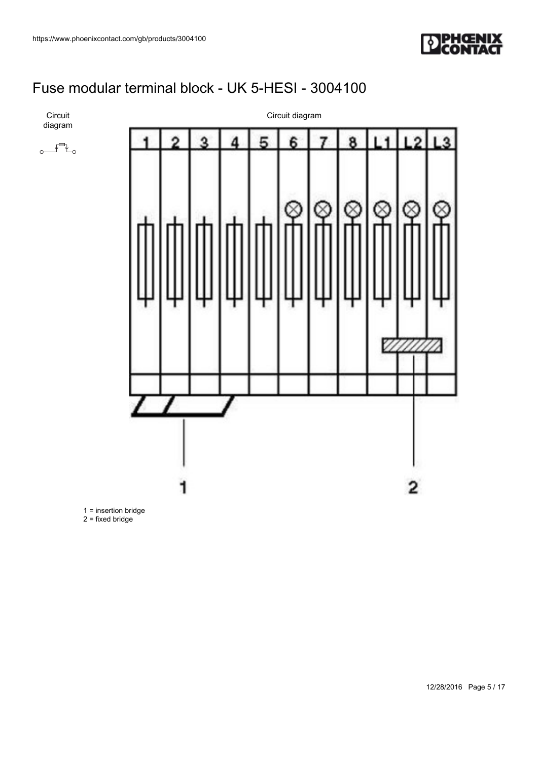



 $\sim$  $\sim$ 

### Circuit diagram



1 = insertion bridge

 $2 = fixed bridge$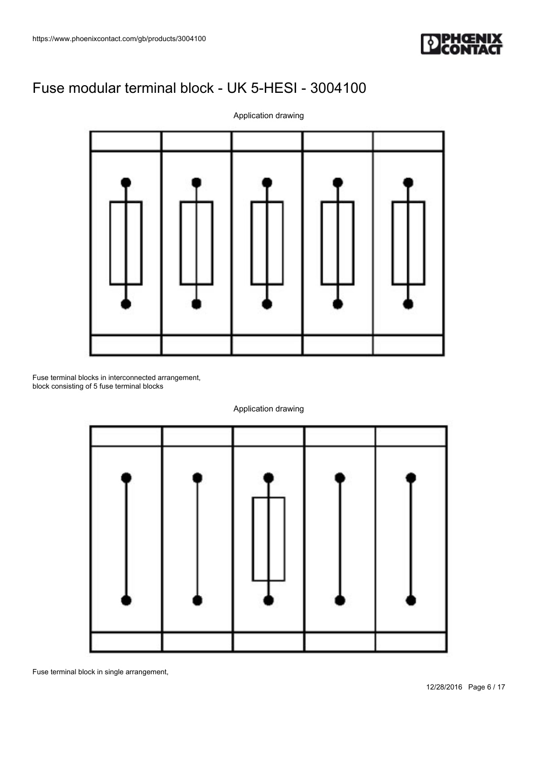



Fuse terminal blocks in interconnected arrangement, block consisting of 5 fuse terminal blocks



Application drawing

Fuse terminal block in single arrangement,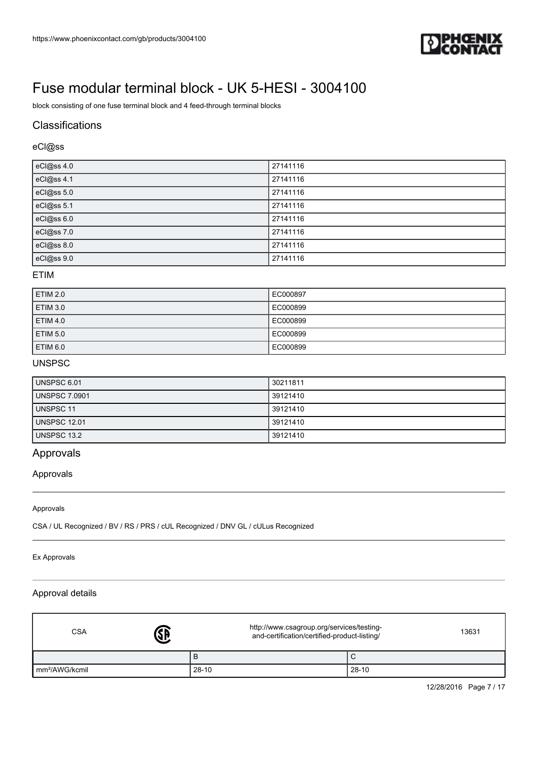

block consisting of one fuse terminal block and 4 feed-through terminal blocks

### **Classifications**

### eCl@ss

| eCl@ss 4.0 | 27141116 |
|------------|----------|
| eCl@ss 4.1 | 27141116 |
| eCl@ss 5.0 | 27141116 |
| eCl@ss 5.1 | 27141116 |
| eCl@ss 6.0 | 27141116 |
| eCl@ss 7.0 | 27141116 |
| eCl@ss 8.0 | 27141116 |
| eCl@ss 9.0 | 27141116 |

#### ETIM

| <b>ETIM 2.0</b> | EC000897 |
|-----------------|----------|
| <b>ETIM 3.0</b> | EC000899 |
| <b>ETIM 4.0</b> | EC000899 |
| <b>ETIM 5.0</b> | EC000899 |
| ETIM 6.0        | EC000899 |

### UNSPSC

| UNSPSC 6.01          | 30211811 |
|----------------------|----------|
| <b>UNSPSC 7.0901</b> | 39121410 |
| <b>UNSPSC 11</b>     | 39121410 |
| UNSPSC 12.01         | 39121410 |
| UNSPSC 13.2          | 39121410 |

### Approvals

Approvals

#### Approvals

CSA / UL Recognized / BV / RS / PRS / cUL Recognized / DNV GL / cULus Recognized

#### Ex Approvals

#### Approval details

| <b>CSA</b>                 | <b>J</b> | http://www.csagroup.org/services/testing-<br>and-certification/certified-product-listing/ | 13631 |  |
|----------------------------|----------|-------------------------------------------------------------------------------------------|-------|--|
|                            | в        |                                                                                           | ◡     |  |
| Im <sup>2</sup> /AWG/kcmil | $28-10$  |                                                                                           | 28-10 |  |

12/28/2016 Page 7 / 17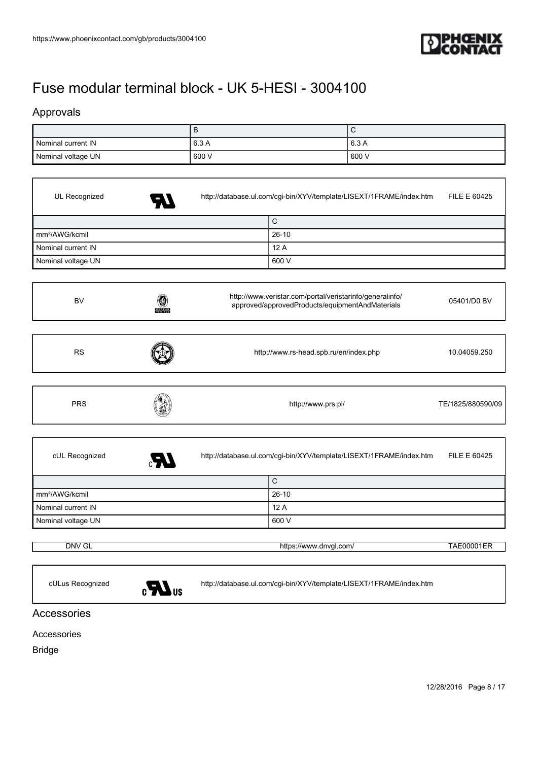

### Approvals

|                    | D     | ∼     |
|--------------------|-------|-------|
| Nominal current IN | 6.3 A | 6.3A  |
| Nominal voltage UN | 600 V | 600 V |

| UL Recognized              |                  | http://database.ul.com/cgi-bin/XYV/template/LISEXT/1FRAME/index.htm                                         | <b>FILE E 60425</b> |
|----------------------------|------------------|-------------------------------------------------------------------------------------------------------------|---------------------|
|                            |                  | $\mathsf C$                                                                                                 |                     |
| mm <sup>2</sup> /AWG/kcmil |                  | $26-10$                                                                                                     |                     |
| Nominal current IN         |                  | 12A                                                                                                         |                     |
| Nominal voltage UN         |                  | 600 V                                                                                                       |                     |
| <b>BV</b>                  | BUREAU<br>VERTAS | http://www.veristar.com/portal/veristarinfo/generalinfo/<br>approved/approvedProducts/equipmentAndMaterials | 05401/D0 BV         |
| <b>RS</b>                  |                  | http://www.rs-head.spb.ru/en/index.php                                                                      | 10.04059.250        |
| <b>PRS</b>                 |                  | http://www.prs.pl/                                                                                          | TE/1825/880590/09   |
| cUL Recognized             |                  | http://database.ul.com/cgi-bin/XYV/template/LISEXT/1FRAME/index.htm                                         | FILE E 60425        |
|                            |                  | $\mathsf C$                                                                                                 |                     |
| mm <sup>2</sup> /AWG/kcmil |                  | $26-10$                                                                                                     |                     |
| Nominal current IN         |                  | 12A                                                                                                         |                     |
| Nominal voltage UN         |                  | 600 V                                                                                                       |                     |
| <b>DNV GL</b>              |                  | https://www.dnvgl.com/                                                                                      | <b>TAE00001ER</b>   |



cULus Recognized <http://database.ul.com/cgi-bin/XYV/template/LISEXT/1FRAME/index.htm>

### Accessories

Accessories

Bridge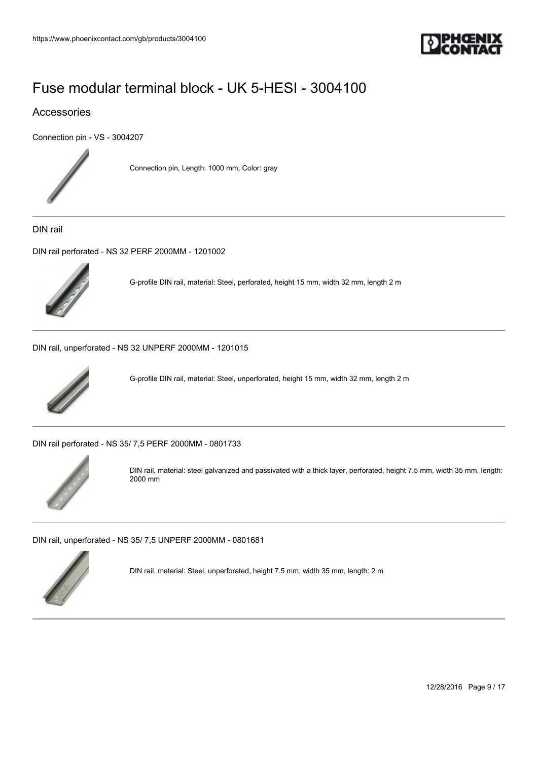

### Accessories

[Connection pin - VS - 3004207](https://www.phoenixcontact.com/gb/products/3004207)



Connection pin, Length: 1000 mm, Color: gray

DIN rail

[DIN rail perforated - NS 32 PERF 2000MM - 1201002](https://www.phoenixcontact.com/gb/products/1201002)



G-profile DIN rail, material: Steel, perforated, height 15 mm, width 32 mm, length 2 m

[DIN rail, unperforated - NS 32 UNPERF 2000MM - 1201015](https://www.phoenixcontact.com/gb/products/1201015)



G-profile DIN rail, material: Steel, unperforated, height 15 mm, width 32 mm, length 2 m

[DIN rail perforated - NS 35/ 7,5 PERF 2000MM - 0801733](https://www.phoenixcontact.com/gb/products/0801733)



DIN rail, material: steel galvanized and passivated with a thick layer, perforated, height 7.5 mm, width 35 mm, length: 2000 mm

[DIN rail, unperforated - NS 35/ 7,5 UNPERF 2000MM - 0801681](https://www.phoenixcontact.com/gb/products/0801681)



DIN rail, material: Steel, unperforated, height 7.5 mm, width 35 mm, length: 2 m

12/28/2016 Page 9 / 17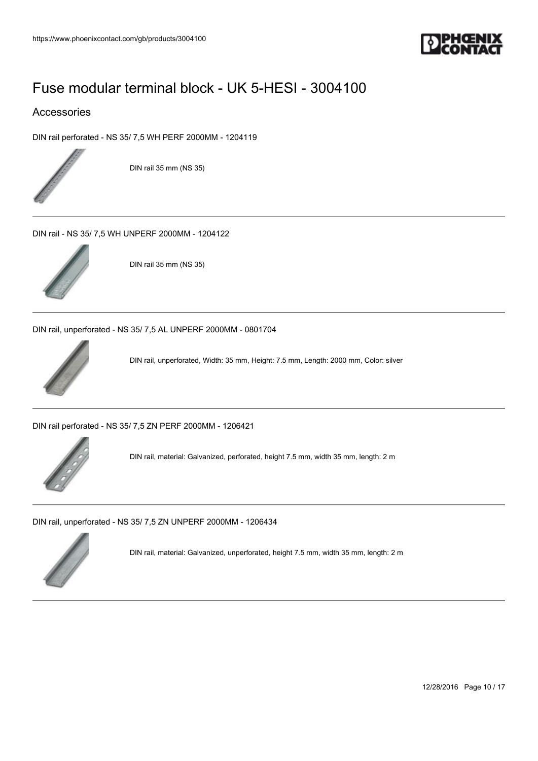

### Accessories

[DIN rail perforated - NS 35/ 7,5 WH PERF 2000MM - 1204119](https://www.phoenixcontact.com/gb/products/1204119)



DIN rail 35 mm (NS 35)

[DIN rail - NS 35/ 7,5 WH UNPERF 2000MM - 1204122](https://www.phoenixcontact.com/gb/products/1204122)



DIN rail 35 mm (NS 35)

[DIN rail, unperforated - NS 35/ 7,5 AL UNPERF 2000MM - 0801704](https://www.phoenixcontact.com/gb/products/0801704)



DIN rail, unperforated, Width: 35 mm, Height: 7.5 mm, Length: 2000 mm, Color: silver

[DIN rail perforated - NS 35/ 7,5 ZN PERF 2000MM - 1206421](https://www.phoenixcontact.com/gb/products/1206421)



DIN rail, material: Galvanized, perforated, height 7.5 mm, width 35 mm, length: 2 m

[DIN rail, unperforated - NS 35/ 7,5 ZN UNPERF 2000MM - 1206434](https://www.phoenixcontact.com/gb/products/1206434)



DIN rail, material: Galvanized, unperforated, height 7.5 mm, width 35 mm, length: 2 m

12/28/2016 Page 10 / 17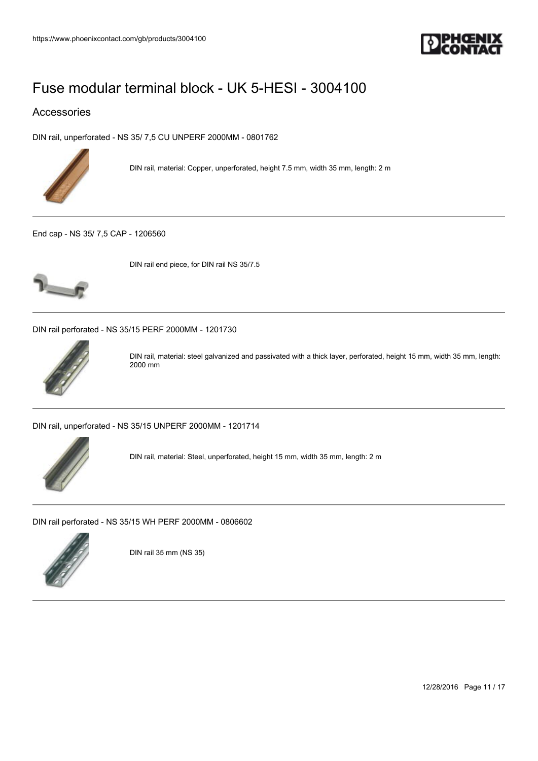

### Accessories

[DIN rail, unperforated - NS 35/ 7,5 CU UNPERF 2000MM - 0801762](https://www.phoenixcontact.com/gb/products/0801762)



DIN rail, material: Copper, unperforated, height 7.5 mm, width 35 mm, length: 2 m

[End cap - NS 35/ 7,5 CAP - 1206560](https://www.phoenixcontact.com/gb/products/1206560)



DIN rail end piece, for DIN rail NS 35/7.5

[DIN rail perforated - NS 35/15 PERF 2000MM - 1201730](https://www.phoenixcontact.com/gb/products/1201730)



DIN rail, material: steel galvanized and passivated with a thick layer, perforated, height 15 mm, width 35 mm, length: 2000 mm

[DIN rail, unperforated - NS 35/15 UNPERF 2000MM - 1201714](https://www.phoenixcontact.com/gb/products/1201714)



DIN rail, material: Steel, unperforated, height 15 mm, width 35 mm, length: 2 m

[DIN rail perforated - NS 35/15 WH PERF 2000MM - 0806602](https://www.phoenixcontact.com/gb/products/0806602)



DIN rail 35 mm (NS 35)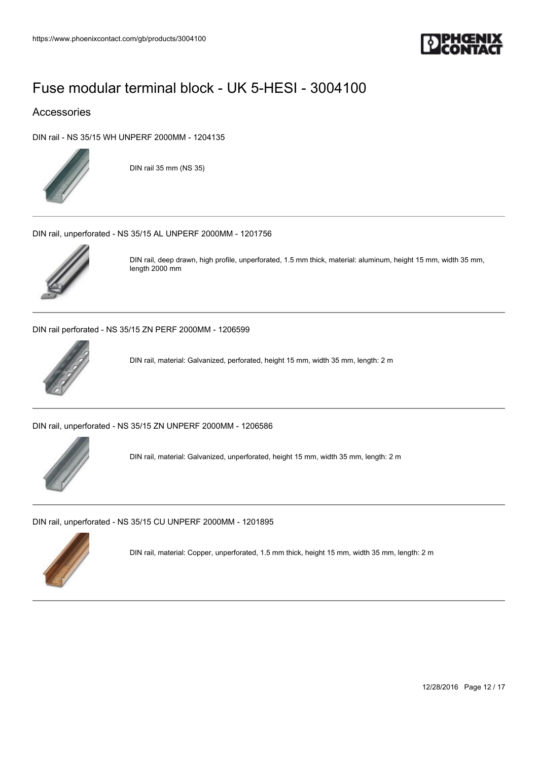

### Accessories

[DIN rail - NS 35/15 WH UNPERF 2000MM - 1204135](https://www.phoenixcontact.com/gb/products/1204135)



DIN rail 35 mm (NS 35)

[DIN rail, unperforated - NS 35/15 AL UNPERF 2000MM - 1201756](https://www.phoenixcontact.com/gb/products/1201756)



DIN rail, deep drawn, high profile, unperforated, 1.5 mm thick, material: aluminum, height 15 mm, width 35 mm, length 2000 mm

[DIN rail perforated - NS 35/15 ZN PERF 2000MM - 1206599](https://www.phoenixcontact.com/gb/products/1206599)



DIN rail, material: Galvanized, perforated, height 15 mm, width 35 mm, length: 2 m

[DIN rail, unperforated - NS 35/15 ZN UNPERF 2000MM - 1206586](https://www.phoenixcontact.com/gb/products/1206586)



DIN rail, material: Galvanized, unperforated, height 15 mm, width 35 mm, length: 2 m

[DIN rail, unperforated - NS 35/15 CU UNPERF 2000MM - 1201895](https://www.phoenixcontact.com/gb/products/1201895)



DIN rail, material: Copper, unperforated, 1.5 mm thick, height 15 mm, width 35 mm, length: 2 m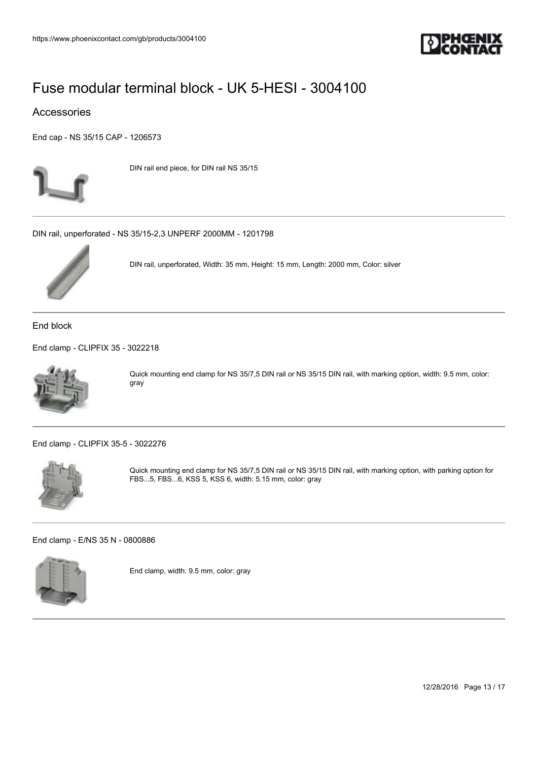

### Accessories

[End cap - NS 35/15 CAP - 1206573](https://www.phoenixcontact.com/gb/products/1206573)



DIN rail end piece, for DIN rail NS 35/15

[DIN rail, unperforated - NS 35/15-2,3 UNPERF 2000MM - 1201798](https://www.phoenixcontact.com/gb/products/1201798)



DIN rail, unperforated, Width: 35 mm, Height: 15 mm, Length: 2000 mm, Color: silver

End block

[End clamp - CLIPFIX 35 - 3022218](https://www.phoenixcontact.com/gb/products/3022218)



Quick mounting end clamp for NS 35/7,5 DIN rail or NS 35/15 DIN rail, with marking option, width: 9.5 mm, color: gray

[End clamp - CLIPFIX 35-5 - 3022276](https://www.phoenixcontact.com/gb/products/3022276)



Quick mounting end clamp for NS 35/7,5 DIN rail or NS 35/15 DIN rail, with marking option, with parking option for FBS...5, FBS...6, KSS 5, KSS 6, width: 5.15 mm, color: gray

[End clamp - E/NS 35 N - 0800886](https://www.phoenixcontact.com/gb/products/0800886)



End clamp, width: 9.5 mm, color: gray

12/28/2016 Page 13 / 17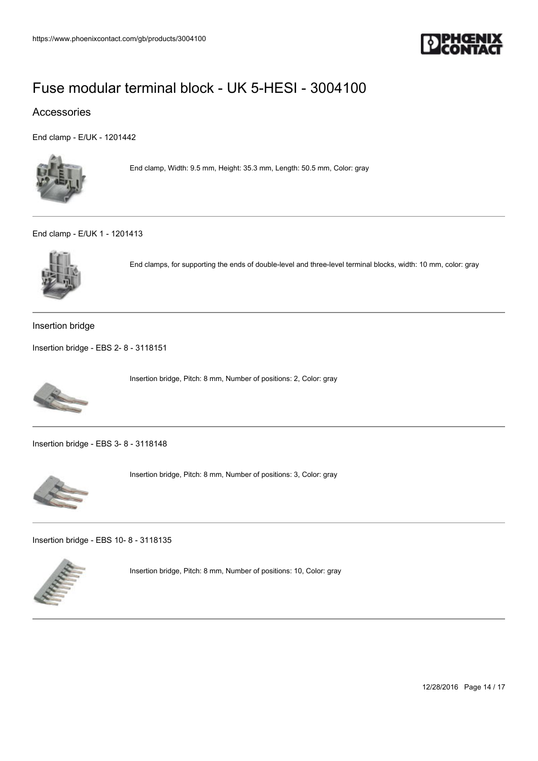

### Accessories

[End clamp - E/UK - 1201442](https://www.phoenixcontact.com/gb/products/1201442)



End clamp, Width: 9.5 mm, Height: 35.3 mm, Length: 50.5 mm, Color: gray

#### [End clamp - E/UK 1 - 1201413](https://www.phoenixcontact.com/gb/products/1201413)



End clamps, for supporting the ends of double-level and three-level terminal blocks, width: 10 mm, color: gray

Insertion bridge

[Insertion bridge - EBS 2- 8 - 3118151](https://www.phoenixcontact.com/gb/products/3118151)



Insertion bridge, Pitch: 8 mm, Number of positions: 2, Color: gray

[Insertion bridge - EBS 3- 8 - 3118148](https://www.phoenixcontact.com/gb/products/3118148)



Insertion bridge, Pitch: 8 mm, Number of positions: 3, Color: gray

[Insertion bridge - EBS 10- 8 - 3118135](https://www.phoenixcontact.com/gb/products/3118135)



Insertion bridge, Pitch: 8 mm, Number of positions: 10, Color: gray

12/28/2016 Page 14 / 17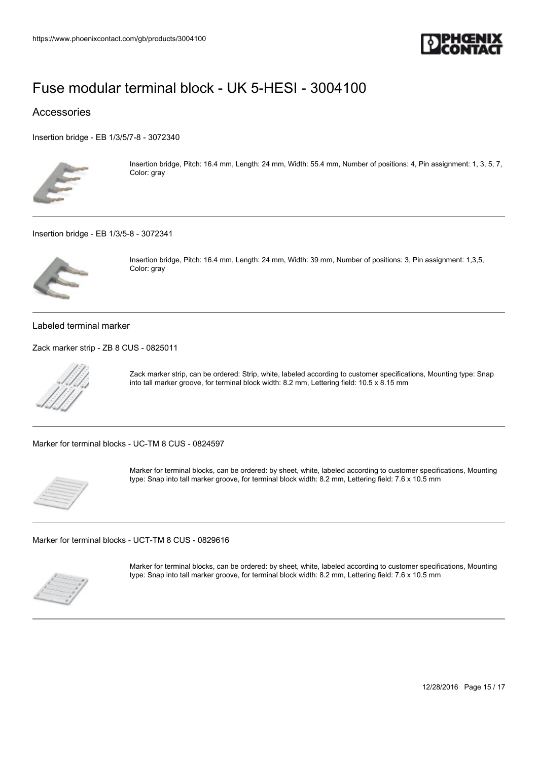

### Accessories

[Insertion bridge - EB 1/3/5/7-8 - 3072340](https://www.phoenixcontact.com/gb/products/3072340)



Insertion bridge, Pitch: 16.4 mm, Length: 24 mm, Width: 55.4 mm, Number of positions: 4, Pin assignment: 1, 3, 5, 7, Color: gray

[Insertion bridge - EB 1/3/5-8 - 3072341](https://www.phoenixcontact.com/gb/products/3072341)



Insertion bridge, Pitch: 16.4 mm, Length: 24 mm, Width: 39 mm, Number of positions: 3, Pin assignment: 1,3,5, Color: gray

Labeled terminal marker

[Zack marker strip - ZB 8 CUS - 0825011](https://www.phoenixcontact.com/gb/products/0825011)



Zack marker strip, can be ordered: Strip, white, labeled according to customer specifications, Mounting type: Snap into tall marker groove, for terminal block width: 8.2 mm, Lettering field: 10.5 x 8.15 mm

[Marker for terminal blocks - UC-TM 8 CUS - 0824597](https://www.phoenixcontact.com/gb/products/0824597)



Marker for terminal blocks, can be ordered: by sheet, white, labeled according to customer specifications, Mounting type: Snap into tall marker groove, for terminal block width: 8.2 mm, Lettering field: 7.6 x 10.5 mm

[Marker for terminal blocks - UCT-TM 8 CUS - 0829616](https://www.phoenixcontact.com/gb/products/0829616)



Marker for terminal blocks, can be ordered: by sheet, white, labeled according to customer specifications, Mounting type: Snap into tall marker groove, for terminal block width: 8.2 mm, Lettering field: 7.6 x 10.5 mm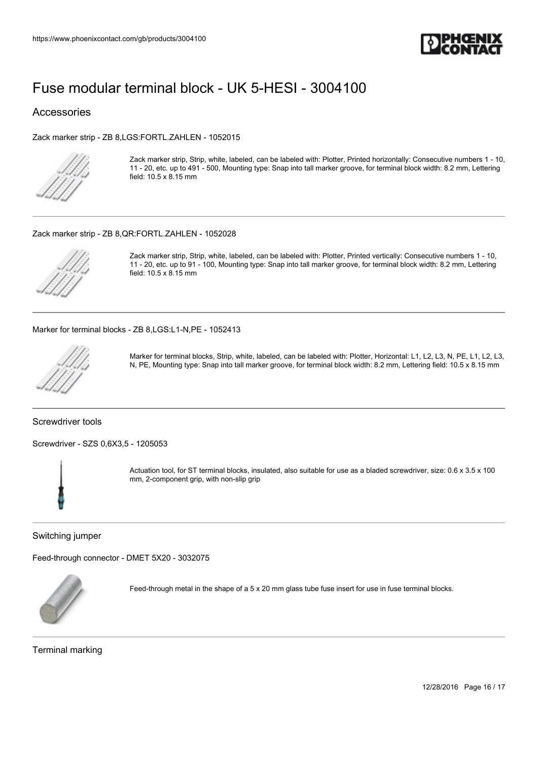

#### Accessories

[Zack marker strip - ZB 8,LGS:FORTL.ZAHLEN - 1052015](https://www.phoenixcontact.com/gb/products/1052015)



Zack marker strip, Strip, white, labeled, can be labeled with: Plotter, Printed horizontally: Consecutive numbers 1 - 10, 11 - 20, etc. up to 491 - 500, Mounting type: Snap into tall marker groove, for terminal block width: 8.2 mm, Lettering field: 10.5 x 8.15 mm

#### [Zack marker strip - ZB 8,QR:FORTL.ZAHLEN - 1052028](https://www.phoenixcontact.com/gb/products/1052028)



Zack marker strip, Strip, white, labeled, can be labeled with: Plotter, Printed vertically: Consecutive numbers 1 - 10, 11 - 20, etc. up to 91 - 100, Mounting type: Snap into tall marker groove, for terminal block width: 8.2 mm, Lettering field: 10.5 x 8.15 mm

[Marker for terminal blocks - ZB 8,LGS:L1-N,PE - 1052413](https://www.phoenixcontact.com/gb/products/1052413)



Marker for terminal blocks, Strip, white, labeled, can be labeled with: Plotter, Horizontal: L1, L2, L3, N, PE, L1, L2, L3, N, PE, Mounting type: Snap into tall marker groove, for terminal block width: 8.2 mm, Lettering field: 10.5 x 8.15 mm

#### Screwdriver tools

[Screwdriver - SZS 0,6X3,5 - 1205053](https://www.phoenixcontact.com/gb/products/1205053)



Actuation tool, for ST terminal blocks, insulated, also suitable for use as a bladed screwdriver, size: 0.6 x 3.5 x 100 mm, 2-component grip, with non-slip grip

Switching jumper

[Feed-through connector - DMET 5X20 - 3032075](https://www.phoenixcontact.com/gb/products/3032075)



Feed-through metal in the shape of a 5 x 20 mm glass tube fuse insert for use in fuse terminal blocks.

Terminal marking